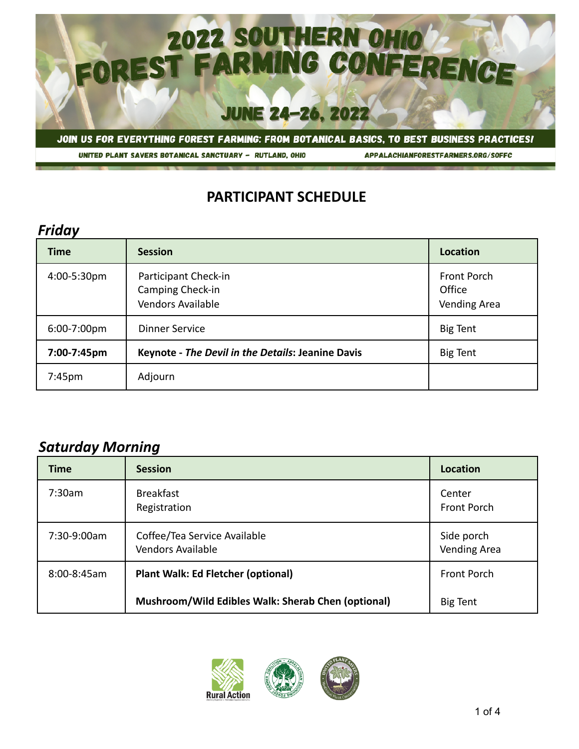

APPALACHIANFORESTFARMERS.ORG/SOFFC

## **PARTICIPANT SCHEDULE**

#### *Friday*

| <b>Time</b>        | <b>Session</b>                                                       | Location                                     |
|--------------------|----------------------------------------------------------------------|----------------------------------------------|
| 4:00-5:30pm        | Participant Check-in<br>Camping Check-in<br><b>Vendors Available</b> | Front Porch<br>Office<br><b>Vending Area</b> |
| 6:00-7:00pm        | <b>Dinner Service</b>                                                | <b>Big Tent</b>                              |
| 7:00-7:45pm        | <b>Keynote - The Devil in the Details: Jeanine Davis</b>             | <b>Big Tent</b>                              |
| 7:45 <sub>pm</sub> | Adjourn                                                              |                                              |

## *Saturday Morning*

| <b>Time</b>      | <b>Session</b>                                     | Location                          |
|------------------|----------------------------------------------------|-----------------------------------|
| 7:30am           | <b>Breakfast</b><br>Registration                   | Center<br>Front Porch             |
| 7:30-9:00am      | Coffee/Tea Service Available<br>Vendors Available  | Side porch<br><b>Vending Area</b> |
| $8:00 - 8:45$ am | <b>Plant Walk: Ed Fletcher (optional)</b>          | Front Porch                       |
|                  | Mushroom/Wild Edibles Walk: Sherab Chen (optional) | <b>Big Tent</b>                   |

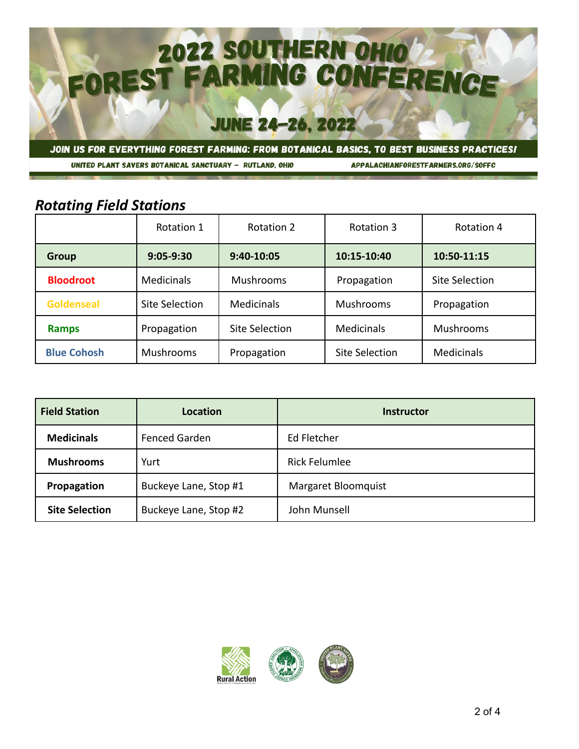

APPALACHIANFORESTFARMERS.ORG/SOFFC

## *Rotating Field Stations*

|                    | Rotation 1        | <b>Rotation 2</b>     | Rotation 3        | Rotation 4            |
|--------------------|-------------------|-----------------------|-------------------|-----------------------|
| <b>Group</b>       | $9:05 - 9:30$     | 9:40-10:05            | 10:15-10:40       | 10:50-11:15           |
| <b>Bloodroot</b>   | <b>Medicinals</b> | <b>Mushrooms</b>      | Propagation       | <b>Site Selection</b> |
| <b>Goldenseal</b>  | Site Selection    | <b>Medicinals</b>     | <b>Mushrooms</b>  | Propagation           |
| <b>Ramps</b>       | Propagation       | <b>Site Selection</b> | <b>Medicinals</b> | <b>Mushrooms</b>      |
| <b>Blue Cohosh</b> | <b>Mushrooms</b>  | Propagation           | Site Selection    | <b>Medicinals</b>     |

| <b>Field Station</b>  | Location              | Instructor           |
|-----------------------|-----------------------|----------------------|
| <b>Medicinals</b>     | <b>Fenced Garden</b>  | Ed Fletcher          |
| <b>Mushrooms</b>      | Yurt                  | <b>Rick Felumlee</b> |
| Propagation           | Buckeye Lane, Stop #1 | Margaret Bloomquist  |
| <b>Site Selection</b> | Buckeye Lane, Stop #2 | John Munsell         |

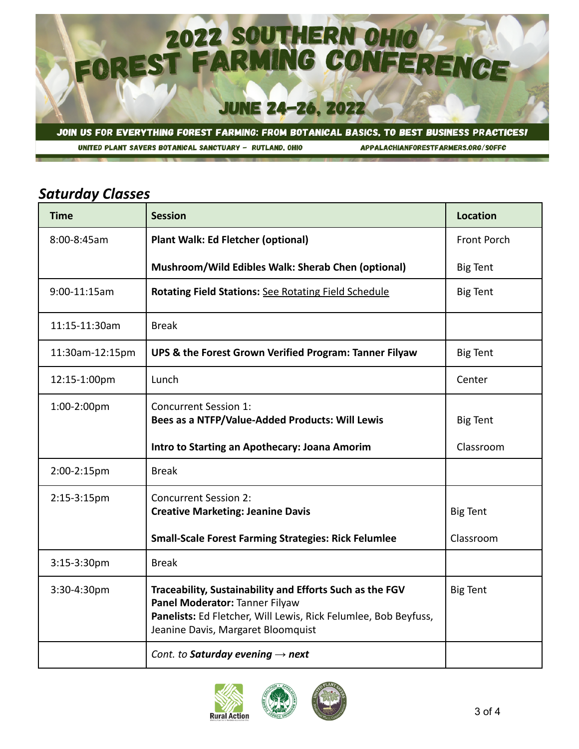

APPALACHIANFORESTFARMERS.ORG/SOFFC

# *Saturday Classes*

| <b>Time</b>     | <b>Session</b>                                                                                                                                                                                      | <b>Location</b> |
|-----------------|-----------------------------------------------------------------------------------------------------------------------------------------------------------------------------------------------------|-----------------|
| 8:00-8:45am     | Plant Walk: Ed Fletcher (optional)                                                                                                                                                                  | Front Porch     |
|                 | Mushroom/Wild Edibles Walk: Sherab Chen (optional)                                                                                                                                                  | <b>Big Tent</b> |
| 9:00-11:15am    | Rotating Field Stations: See Rotating Field Schedule                                                                                                                                                | <b>Big Tent</b> |
| 11:15-11:30am   | <b>Break</b>                                                                                                                                                                                        |                 |
| 11:30am-12:15pm | UPS & the Forest Grown Verified Program: Tanner Filyaw                                                                                                                                              | <b>Big Tent</b> |
| 12:15-1:00pm    | Lunch                                                                                                                                                                                               | Center          |
| 1:00-2:00pm     | <b>Concurrent Session 1:</b><br>Bees as a NTFP/Value-Added Products: Will Lewis                                                                                                                     | <b>Big Tent</b> |
|                 | Intro to Starting an Apothecary: Joana Amorim                                                                                                                                                       | Classroom       |
| 2:00-2:15pm     | <b>Break</b>                                                                                                                                                                                        |                 |
| 2:15-3:15pm     | <b>Concurrent Session 2:</b><br><b>Creative Marketing: Jeanine Davis</b>                                                                                                                            | <b>Big Tent</b> |
|                 | <b>Small-Scale Forest Farming Strategies: Rick Felumlee</b>                                                                                                                                         | Classroom       |
| $3:15-3:30$ pm  | <b>Break</b>                                                                                                                                                                                        |                 |
| 3:30-4:30pm     | Traceability, Sustainability and Efforts Such as the FGV<br>Panel Moderator: Tanner Filyaw<br>Panelists: Ed Fletcher, Will Lewis, Rick Felumlee, Bob Beyfuss,<br>Jeanine Davis, Margaret Bloomquist | <b>Big Tent</b> |
|                 | Cont. to Saturday evening $\rightarrow$ next                                                                                                                                                        |                 |